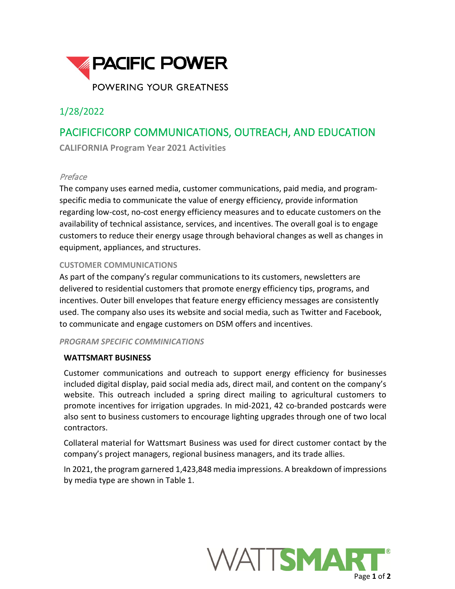

# 1/28/2022

# PACIFICFICORP COMMUNICATIONS, OUTREACH, AND EDUCATION

**CALIFORNIA Program Year 2021 Activities**

### Preface

The company uses earned media, customer communications, paid media, and programspecific media to communicate the value of energy efficiency, provide information regarding low-cost, no-cost energy efficiency measures and to educate customers on the availability of technical assistance, services, and incentives. The overall goal is to engage customers to reduce their energy usage through behavioral changes as well as changes in equipment, appliances, and structures.

### **CUSTOMER COMMUNICATIONS**

As part of the company's regular communications to its customers, newsletters are delivered to residential customers that promote energy efficiency tips, programs, and incentives. Outer bill envelopes that feature energy efficiency messages are consistently used. The company also uses its website and social media, such as Twitter and Facebook, to communicate and engage customers on DSM offers and incentives.

#### *PROGRAM SPECIFIC COMMINICATIONS*

## **WATTSMART BUSINESS**

Customer communications and outreach to support energy efficiency for businesses included digital display, paid social media ads, direct mail, and content on the company's website. This outreach included a spring direct mailing to agricultural customers to promote incentives for irrigation upgrades. In mid-2021, 42 co-branded postcards were also sent to business customers to encourage lighting upgrades through one of two local contractors.

Collateral material for Wattsmart Business was used for direct customer contact by the company's project managers, regional business managers, and its trade allies.

In 2021, the program garnered 1,423,848 media impressions. A breakdown of impressions by media type are shown in Table 1.